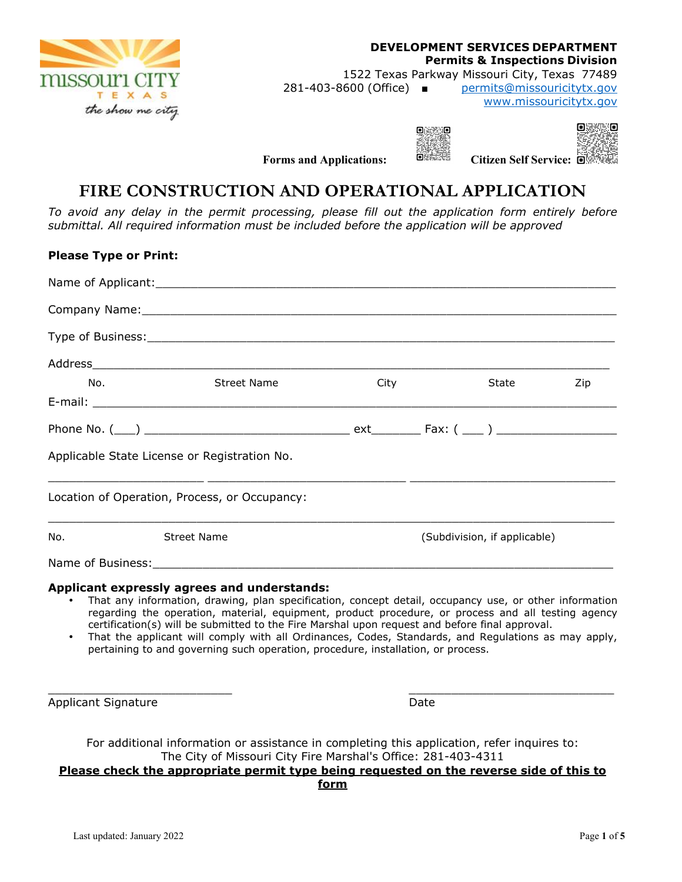

#### **DEVELOPMENT SERVICES DEPARTMENT Permits & Inspections Division**  1522 Texas Parkway Missouri City, Texas 77489 281-403-8600 (Office) ■ permits@missouricitytx.gov www.missouricitytx.gov



**Forms and Applications:** BERTHE Citizen Self Service: **O** 

# **FIRE CONSTRUCTION AND OPERATIONAL APPLICATION**

*To avoid any delay in the permit processing, please fill out the application form entirely before submittal. All required information must be included before the application will be approved* 

# **Please Type or Print:**  Name of Applicant:  $\Box$ Company Name:\_\_\_\_\_\_\_\_\_\_\_\_\_\_\_\_\_\_\_\_\_\_\_\_\_\_\_\_\_\_\_\_\_\_\_\_\_\_\_\_\_\_\_\_\_\_\_\_\_\_\_\_\_\_\_\_\_\_\_\_\_\_\_\_\_\_\_ Type of Business: Type of Business: Address\_\_\_\_\_\_\_\_\_\_\_\_\_\_\_\_\_\_\_\_\_\_\_\_\_\_\_\_\_\_\_\_\_\_\_\_\_\_\_\_\_\_\_\_\_\_\_\_\_\_\_\_\_\_\_\_\_\_\_\_\_\_\_\_\_\_\_\_\_\_\_\_\_ No. Street Name City State Zip E-mail: \_\_\_\_\_\_\_\_\_\_\_\_\_\_\_\_\_\_\_\_\_\_\_\_\_\_\_\_\_\_\_\_\_\_\_\_\_\_\_\_\_\_\_\_\_\_\_\_\_\_\_\_\_\_\_\_\_\_\_\_\_\_\_\_\_\_\_\_\_\_\_\_\_\_ Phone No. (\_\_\_) \_\_\_\_\_\_\_\_\_\_\_\_\_\_\_\_\_\_\_\_\_\_\_\_\_\_\_\_\_ ext\_\_\_\_\_\_\_ Fax: ( \_\_\_ ) \_\_\_\_\_\_\_\_\_\_\_\_\_\_\_\_\_ Applicable State License or Registration No. \_\_\_\_\_\_\_\_\_\_\_\_\_\_\_\_\_\_\_\_\_\_ \_\_\_\_\_\_\_\_\_\_\_\_\_\_\_\_\_\_\_\_\_\_\_\_\_\_\_\_ \_\_\_\_\_\_\_\_\_\_\_\_\_\_\_\_\_\_\_\_\_\_\_\_\_\_\_\_\_ Location of Operation, Process, or Occupancy:  $\_$  ,  $\_$  ,  $\_$  ,  $\_$  ,  $\_$  ,  $\_$  ,  $\_$  ,  $\_$  ,  $\_$  ,  $\_$  ,  $\_$  ,  $\_$  ,  $\_$  ,  $\_$  ,  $\_$  ,  $\_$  ,  $\_$  ,  $\_$  ,  $\_$  ,  $\_$  ,  $\_$  ,  $\_$  ,  $\_$  ,  $\_$  ,  $\_$  ,  $\_$  ,  $\_$  ,  $\_$  ,  $\_$  ,  $\_$  ,  $\_$  ,  $\_$  ,  $\_$  ,  $\_$  ,  $\_$  ,  $\_$  ,  $\_$  , No. Street Name (Subdivision, if applicable) Name of Business: **Applicant expressly agrees and understands:**

- That any information, drawing, plan specification, concept detail, occupancy use, or other information regarding the operation, material, equipment, product procedure, or process and all testing agency certification(s) will be submitted to the Fire Marshal upon request and before final approval.
- That the applicant will comply with all Ordinances, Codes, Standards, and Regulations as may apply, pertaining to and governing such operation, procedure, installation, or process.

Applicant Signature **Date** Date **Date** Date **Date** 

For additional information or assistance in completing this application, refer inquires to: The City of Missouri City Fire Marshal's Office: 281-403-4311

#### **Please check the appropriate permit type being requested on the reverse side of this to form**

 $\frac{1}{2}$  ,  $\frac{1}{2}$  ,  $\frac{1}{2}$  ,  $\frac{1}{2}$  ,  $\frac{1}{2}$  ,  $\frac{1}{2}$  ,  $\frac{1}{2}$  ,  $\frac{1}{2}$  ,  $\frac{1}{2}$  ,  $\frac{1}{2}$  ,  $\frac{1}{2}$  ,  $\frac{1}{2}$  ,  $\frac{1}{2}$  ,  $\frac{1}{2}$  ,  $\frac{1}{2}$  ,  $\frac{1}{2}$  ,  $\frac{1}{2}$  ,  $\frac{1}{2}$  ,  $\frac{1$ 

Last updated: January 2022 Page **1** of **5**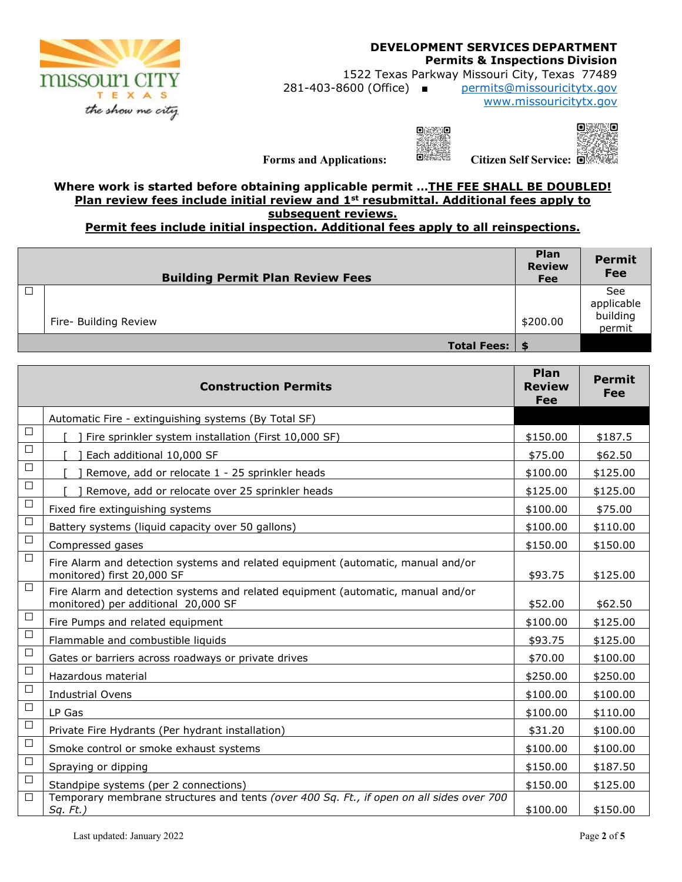

### **DEVELOPMENT SERVICES DEPARTMENT Permits & Inspections Division**

1522 Texas Parkway Missouri City, Texas 77489 281-403-8600 (Office) ■ permits@missouricitytx.gov

www.missouricitytx.gov

 $0.3330$ 



**Forms and Applications: EXAMPLE Citizen Self Service: EXAMPLE** 

**Where work is started before obtaining applicable permit …THE FEE SHALL BE DOUBLED! Plan review fees include initial review and 1st resubmittal. Additional fees apply to subsequent reviews.** 

**Permit fees include initial inspection. Additional fees apply to all reinspections.** 

| <b>Building Permit Plan Review Fees</b> | <b>Plan</b><br><b>Review</b><br><b>Fee</b> | <b>Permit</b><br><b>Fee</b> |
|-----------------------------------------|--------------------------------------------|-----------------------------|
|                                         |                                            | See<br>applicable           |
| Fire- Building Review                   | \$200.00                                   | building<br>permit          |
| Total Fees:   \$                        |                                            |                             |

| <b>Construction Permits</b> |                                                                                                                         | Plan<br><b>Review</b><br>Fee | <b>Permit</b><br>Fee |
|-----------------------------|-------------------------------------------------------------------------------------------------------------------------|------------------------------|----------------------|
|                             | Automatic Fire - extinguishing systems (By Total SF)                                                                    |                              |                      |
| $\Box$                      | Fire sprinkler system installation (First 10,000 SF)                                                                    | \$150.00                     | \$187.5              |
| □                           | Each additional 10,000 SF                                                                                               | \$75.00                      | \$62.50              |
| □                           | Remove, add or relocate 1 - 25 sprinkler heads                                                                          | \$100.00                     | \$125.00             |
| □                           | Remove, add or relocate over 25 sprinkler heads                                                                         | \$125.00                     | \$125.00             |
| $\Box$                      | Fixed fire extinguishing systems                                                                                        | \$100.00                     | \$75.00              |
| $\Box$                      | Battery systems (liquid capacity over 50 gallons)                                                                       | \$100.00                     | \$110.00             |
| $\Box$                      | Compressed gases                                                                                                        | \$150.00                     | \$150.00             |
| $\Box$                      | Fire Alarm and detection systems and related equipment (automatic, manual and/or<br>monitored) first 20,000 SF          | \$93.75                      | \$125.00             |
| $\Box$                      | Fire Alarm and detection systems and related equipment (automatic, manual and/or<br>monitored) per additional 20,000 SF | \$52.00                      | \$62.50              |
| $\Box$                      | Fire Pumps and related equipment                                                                                        | \$100.00                     | \$125.00             |
| $\Box$                      | Flammable and combustible liquids                                                                                       | \$93.75                      | \$125.00             |
| $\Box$                      | Gates or barriers across roadways or private drives                                                                     | \$70.00                      | \$100.00             |
| $\Box$                      | Hazardous material                                                                                                      | \$250.00                     | \$250.00             |
| $\Box$                      | <b>Industrial Ovens</b>                                                                                                 | \$100.00                     | \$100.00             |
| $\Box$                      | LP Gas                                                                                                                  | \$100.00                     | \$110.00             |
| $\Box$                      | Private Fire Hydrants (Per hydrant installation)                                                                        | \$31.20                      | \$100.00             |
| $\Box$                      | Smoke control or smoke exhaust systems                                                                                  | \$100.00                     | \$100.00             |
| $\Box$                      | Spraying or dipping                                                                                                     | \$150.00                     | \$187.50             |
| $\Box$                      | Standpipe systems (per 2 connections)                                                                                   | \$150.00                     | \$125.00             |
| $\Box$                      | Temporary membrane structures and tents (over 400 Sq. Ft., if open on all sides over 700<br>$Sq. Ft.$ )                 | \$100.00                     | \$150.00             |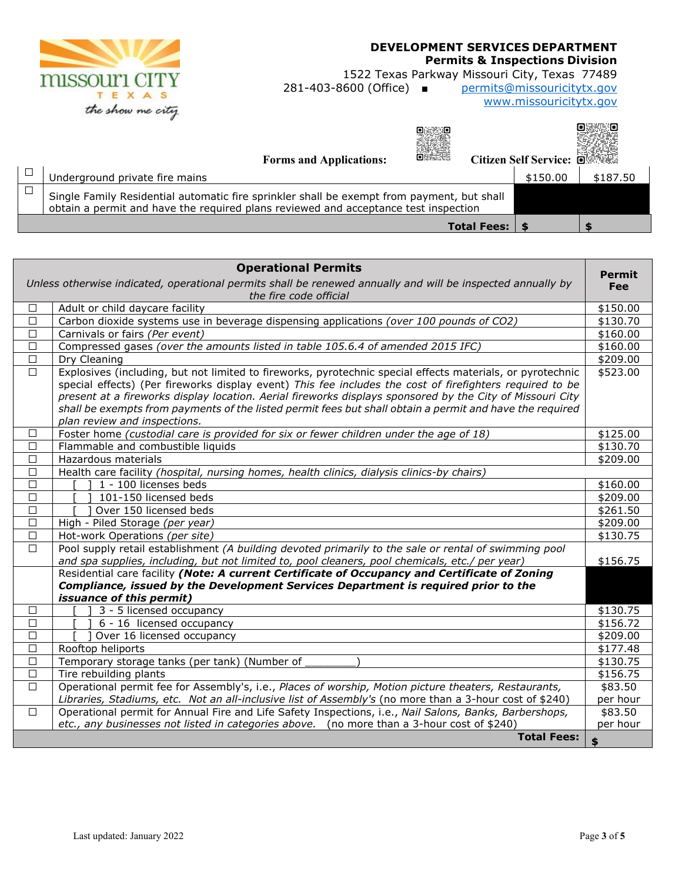

# **DEVELOPMENT SERVICES DEPARTMENT**

**Permits & Inspections Division** 

1522 Texas Parkway Missouri City, Texas 77489<br>281-403-8600 (Office) ■ permits@missouricitytx.gov

permits@missouricitytx.gov www.missouricitytx.gov

| oezhk<br><b>Forms and Applications:</b>                                                                                                                                           | Citizen Self Service: 回答 |          |
|-----------------------------------------------------------------------------------------------------------------------------------------------------------------------------------|--------------------------|----------|
| Underground private fire mains                                                                                                                                                    | \$150.00                 | \$187.50 |
| Single Family Residential automatic fire sprinkler shall be exempt from payment, but shall<br>obtain a permit and have the required plans reviewed and acceptance test inspection |                          |          |
| <b>Total Fees:</b>                                                                                                                                                                |                          |          |

| <b>Operational Permits</b>                                                                                                            |                                                                                                                  | <b>Permit</b> |
|---------------------------------------------------------------------------------------------------------------------------------------|------------------------------------------------------------------------------------------------------------------|---------------|
| Unless otherwise indicated, operational permits shall be renewed annually and will be inspected annually by<br>the fire code official |                                                                                                                  | Fee           |
| □                                                                                                                                     | Adult or child daycare facility                                                                                  | \$150.00      |
| $\Box$                                                                                                                                | Carbon dioxide systems use in beverage dispensing applications (over 100 pounds of CO2)                          | \$130.70      |
| □                                                                                                                                     | Carnivals or fairs (Per event)                                                                                   | \$160.00      |
| □                                                                                                                                     | Compressed gases (over the amounts listed in table 105.6.4 of amended 2015 IFC)                                  | \$160.00      |
| $\Box$                                                                                                                                | Dry Cleaning                                                                                                     | \$209.00      |
| $\Box$                                                                                                                                | Explosives (including, but not limited to fireworks, pyrotechnic special effects materials, or pyrotechnic       | \$523.00      |
|                                                                                                                                       | special effects) (Per fireworks display event) This fee includes the cost of firefighters required to be         |               |
|                                                                                                                                       | present at a fireworks display location. Aerial fireworks displays sponsored by the City of Missouri City        |               |
|                                                                                                                                       | shall be exempts from payments of the listed permit fees but shall obtain a permit and have the required         |               |
|                                                                                                                                       | plan review and inspections.                                                                                     |               |
| □                                                                                                                                     | Foster home (custodial care is provided for six or fewer children under the age of 18)                           | \$125.00      |
| $\Box$                                                                                                                                | Flammable and combustible liquids                                                                                | \$130.70      |
| $\Box$                                                                                                                                | Hazardous materials                                                                                              | \$209.00      |
| Health care facility (hospital, nursing homes, health clinics, dialysis clinics-by chairs)<br>□                                       |                                                                                                                  |               |
| $\Box$                                                                                                                                | 1 - 100 licenses beds                                                                                            | \$160.00      |
| $\Box$                                                                                                                                | 101-150 licensed beds                                                                                            | \$209.00      |
| $\Box$                                                                                                                                | Over 150 licensed beds                                                                                           | \$261.50      |
| $\Box$                                                                                                                                | High - Piled Storage (per year)                                                                                  | \$209.00      |
| $\Box$                                                                                                                                | Hot-work Operations (per site)                                                                                   | \$130.75      |
| $\Box$                                                                                                                                | Pool supply retail establishment (A building devoted primarily to the sale or rental of swimming pool            |               |
|                                                                                                                                       | and spa supplies, including, but not limited to, pool cleaners, pool chemicals, etc./ per year)                  | \$156.75      |
|                                                                                                                                       | Residential care facility (Note: A current Certificate of Occupancy and Certificate of Zoning                    |               |
|                                                                                                                                       | Compliance, issued by the Development Services Department is required prior to the                               |               |
|                                                                                                                                       | <i>issuance of this permit)</i>                                                                                  |               |
| □                                                                                                                                     | 3 - 5 licensed occupancy                                                                                         | \$130.75      |
| $\Box$                                                                                                                                | 6 - 16 licensed occupancy                                                                                        | \$156.72      |
| $\Box$                                                                                                                                | Over 16 licensed occupancy                                                                                       | \$209.00      |
| $\Box$                                                                                                                                | Rooftop heliports                                                                                                | \$177.48      |
| $\Box$                                                                                                                                | Temporary storage tanks (per tank) (Number of                                                                    | \$130.75      |
| $\Box$                                                                                                                                | Tire rebuilding plants                                                                                           | \$156.75      |
| П                                                                                                                                     | Operational permit fee for Assembly's, i.e., Places of worship, Motion picture theaters, Restaurants,            | \$83.50       |
|                                                                                                                                       | Libraries, Stadiums, etc. Not an all-inclusive list of Assembly's (no more than a 3-hour cost of \$240)          | per hour      |
| $\Box$                                                                                                                                | Operational permit for Annual Fire and Life Safety Inspections, i.e., Nail Salons, Banks, Barbershops,           | \$83.50       |
|                                                                                                                                       | etc., any businesses not listed in categories above. (no more than a 3-hour cost of \$240)<br><b>Total Fees:</b> | per hour      |
|                                                                                                                                       |                                                                                                                  | \$            |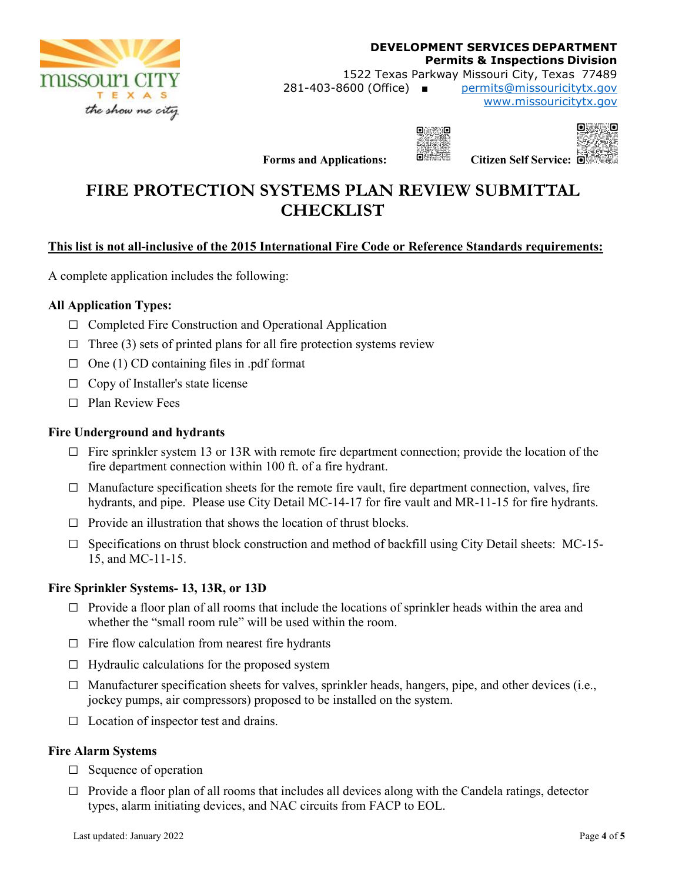

**DEVELOPMENT SERVICES DEPARTMENT Permits & Inspections Division**  1522 Texas Parkway Missouri City, Texas 77489 281-403-8600 (Office) ■ permits@missouricitytx.gov www.missouricitytx.gov



**nsansn** 

**Forms and Applications:** BERTHE Citizen Self Service: **C** 

# **FIRE PROTECTION SYSTEMS PLAN REVIEW SUBMITTAL CHECKLIST**

# **This list is not all-inclusive of the 2015 International Fire Code or Reference Standards requirements:**

A complete application includes the following:

## **All Application Types:**

- **□** Completed Fire Construction and Operational Application
- $\Box$  Three (3) sets of printed plans for all fire protection systems review
- **□** One (1) CD containing files in .pdf format
- **□** Copy of Installer's state license
- **□** Plan Review Fees

### **Fire Underground and hydrants**

- **□** Fire sprinkler system 13 or 13R with remote fire department connection; provide the location of the fire department connection within 100 ft. of a fire hydrant.
- □ Manufacture specification sheets for the remote fire vault, fire department connection, valves, fire hydrants, and pipe. Please use City Detail MC-14-17 for fire vault and MR-11-15 for fire hydrants.
- **□** Provide an illustration that shows the location of thrust blocks.
- **□** Specifications on thrust block construction and method of backfill using City Detail sheets: MC-15- 15, and MC-11-15.

#### **Fire Sprinkler Systems- 13, 13R, or 13D**

- □ Provide a floor plan of all rooms that include the locations of sprinkler heads within the area and whether the "small room rule" will be used within the room.
- **□** Fire flow calculation from nearest fire hydrants
- **□** Hydraulic calculations for the proposed system
- **□** Manufacturer specification sheets for valves, sprinkler heads, hangers, pipe, and other devices (i.e., jockey pumps, air compressors) proposed to be installed on the system.
- **□** Location of inspector test and drains.

#### **Fire Alarm Systems**

- **□** Sequence of operation
- $\Box$  Provide a floor plan of all rooms that includes all devices along with the Candela ratings, detector types, alarm initiating devices, and NAC circuits from FACP to EOL.